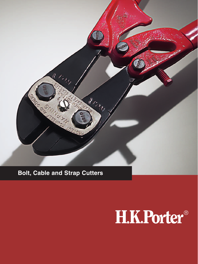

# **Bolt, Cable and Strap Cutters**

# H.K.Porter®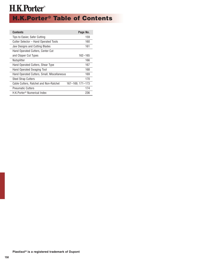# **H.K.Porter<sup>®</sup> Table of Contents**

| <b>Contents</b>                             | Page No.         |
|---------------------------------------------|------------------|
| Tips to Easier, Safer Cutting               | 159              |
| Cutter Selector – Hand Operated Tools       | 160              |
| Jaw Designs and Cutting Blades              | 161              |
| Hand Operated Cutters, Center Cut           |                  |
| and Clipper Cut Types                       | $162 - 165$      |
| Nutsplitter                                 | 166              |
| Hand Operated Cutters, Shear Type           | 167              |
| Hand Operated Swaging Tool                  | 168              |
| Hand Operated Cutters, Small, Miscellaneous | 169              |
| <b>Steel Strap Cutters</b>                  | 170              |
| Cable Cutters, Ratchet and Non-Ratchet      | 167-169, 171-173 |
| <b>Pneumatic Cutters</b>                    | 174              |
| H.K.Porter <sup>®</sup> Numerical Index     | 236              |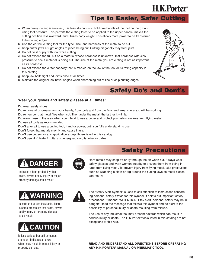# **Tips to Easier, Safer Cutting**

- a. When heavy cutting is involved, it is less strenuous to hold one handle of the tool on the ground using foot pressure. This permits the cutting force to be applied to the upper handle, makes the cutting position less awkward, and utilizes body weight. This allows more power to be transferred tothe cutting edges.
- b. Use the correct cutting tool for the type, size, and hardness of the metal to be cut.
- c. Keep cutter jaws at right angles to piece being cut. Cutting diagonally may twist jaws.
- d. Do not twist or pry with tool while cutting.
- e. Do not exceed the full cut on a material whose hardness is unknown. Test hardness with slow pressure to see if material is being cut. The size of the metal you are cutting is not as important as its hardness.
- f. Do not exceed the cutter capacity that is marked on the jaw of the tool or its rating capacity in this catalog.
- g. Keep jaw bolts tight and joints oiled at all times.
- h. Maintain the original jaw bevel angles when sharpening out of line or chip cutting edges.

### **Safety Do's and Dont's**

**Safety Precautions**

#### **Wear your gloves and safety glasses at all times!**

**Do** wear safety shoes.

**Do** remove oil or grease from your hands, from tools and from the floor and area where you will be working.

**Do** remember that metal flies when cut. The harder the metal, the farther it will fly.

**Do** warn those in the area when you intend to use a cutter and protect your fellow workers from flying metal.

**Do** use all tools as recommended.

**Don't** attempt to use a cutting tool, hand or power, until you fully understand its use.

**Don't** forget that metals may fly and cause injury.

**Don't** use cutters for any application except those listed in this catalog.

**Don't** use H.K.Porter® cutters on energized circuits, wire, or cable.

# **DANGER**

Indicates a high probability that death, severe bodily injury or major property damage could result.

# **WARNING**

Is serious but less inevitable. There is some probability that death, severe bodily injury or property damage could result.



Is less serious but still demands attention. Indicates a hazard which may result in minor injury or property damage.



Hard metals may snap off or fly through the air when cut. Always wear safety glasses and warn workers nearby to prevent them from being injured from flying metal. To prevent injury from flying metal, take precautions such as wrapping a cloth or rag around the cutting jaws so metal pieces can not fly.



The "Safety Alert Symbol" is used to call attention to instructions concerning personal safety. Watch for this symbol, it points out important safety precautions. It means: "ATTENTION! Stay alert, personal safety may be in danger!" Read the message that follows this symbol and be alert to the possibility of personal injury or death resulting from misuse.

The use of any industrial tool may present hazards which can result in serious injury or death. The H.K.Porter® tools listed in this catalog are not exceptions to this rule.

**READ AND UNDERSTAND ALL DIRECTIONS BEFORE OPERATING ANY H.K.PORTER® MANUAL OR PNEUMATIC TOOL.**



**H.K.Porter**®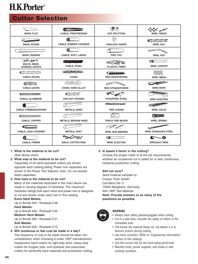### **Cutter Selection**

| <b>BARS, FLAT</b>                                                                                                                                                                                                                                                                                                                                                          | <b>CABLE, PRESTRESSED</b>                         | 得の<br><b>NUT SPLITTING</b>                          | $\boldsymbol{\times}$<br><b>WIRE, FENCE</b>                 |
|----------------------------------------------------------------------------------------------------------------------------------------------------------------------------------------------------------------------------------------------------------------------------------------------------------------------------------------------------------------------------|---------------------------------------------------|-----------------------------------------------------|-------------------------------------------------------------|
| <b>BARS, ROUND</b>                                                                                                                                                                                                                                                                                                                                                         | <b>CABLE, RUBBER COVERED</b>                      | <b>PADLOCK HASPS</b>                                | $\blacksquare$<br><b>WIRE, GUY</b>                          |
| <b>BARS, SQUARE</b>                                                                                                                                                                                                                                                                                                                                                        | <b>CABLE, SOFT, LARGE</b>                         | PIPE, PVC                                           | <b>WIRE, HOT</b>                                            |
| $\partial = \sqrt{\alpha}$<br><b>BOLTS, RODS,</b><br><b>SCREWS, RIVETS</b>                                                                                                                                                                                                                                                                                                 | 鹿 ピー・アーク<br><b>CABLE, STEEL</b>                   | <b>PLASTIC, FIBER</b>                               | $\rightarrow$ Mass and $\rightarrow$<br><b>WIRE, COPPER</b> |
| $\begin{picture}(20,20) \put(0,0){\line(1,0){10}} \put(15,0){\line(1,0){10}} \put(15,0){\line(1,0){10}} \put(15,0){\line(1,0){10}} \put(15,0){\line(1,0){10}} \put(15,0){\line(1,0){10}} \put(15,0){\line(1,0){10}} \put(15,0){\line(1,0){10}} \put(15,0){\line(1,0){10}} \put(15,0){\line(1,0){10}} \put(15,0){\line(1,0){10}} \put(15,0){\line(1$<br><b>CABLE (ACAR)</b> | GEBERS (SI)<br><b>CHAIN</b>                       | 2000000<br><b>ROD REINFORCING</b>                   | <b>WIRE, MESH</b>                                           |
| WHA LIKE<br><b>CABLE (ACSR)</b>                                                                                                                                                                                                                                                                                                                                            | <b>CHAIN, HARD ALLOY</b>                          | <b>ROD STRAIGHTENER</b>                             | <b>WIRE ROPE</b>                                            |
| Camaanaan<br><b>CABLE, ALUMINUM</b>                                                                                                                                                                                                                                                                                                                                        | <b>PERSONAL PROPERTY</b><br><b>EHS GUY STRAND</b> | <b>STRAPPING STEEL</b>                              | <b>WIRE SHELVING</b>                                        |
| <b>CABLE COMMUNICATIONS</b>                                                                                                                                                                                                                                                                                                                                                | <b>METALS, HARD</b>                               | <b>FEEREREE</b><br><b>TIRE CHAINS</b>               | <b>WIRE, SOLID</b>                                          |
| EZZZZZZZZZZZZZZZZZD<br><b>CABLE, COPPER</b>                                                                                                                                                                                                                                                                                                                                | <b>METALS, MEDIUM HARD</b>                        | <b>TRUCK TIRE BEADS</b>                             | Quinno<br><b>WIRE, SPRING</b>                               |
| ei<br><b>CABLE, LEAD COVERED</b>                                                                                                                                                                                                                                                                                                                                           | <b>METALS, SOFT</b>                               | <b>WIRE, BOX BINDING</b>                            | <b>WIRE, STAINLESS STEEL</b>                                |
| <b>CABLE, POWER</b>                                                                                                                                                                                                                                                                                                                                                        | <b>NAILS, COTTER PINS</b>                         | $=$ ) and all the $\equiv$<br><b>WIRE, ELECTRIC</b> | <b>WROUGHT IRON</b>                                         |

#### **1. What is the material to be cut?** (See above chart)

#### **2. What size is the material to be cut?**

Capacities of all hand-operated cutters are shown opposite each catalog listing. Power tool capacities are shown in the Power Tool Selector chart. Do not exceed listed capacities.

#### **3. How hard is the material to be cut?**

Many of the materials illustrated in the chart above are made in varying degrees of hardness. The maximum hardness ratings that each hand and power tool is designed to cut are shown under each tool in this catalog.

#### **Extra Hard Metals:**

Up to Brinell 455 / Rockwell C48 **Hard Metals:** Up to Brinell 400 / Rockwell C42 **Medium Hard Metals:** Up to Brinell 300 / Rockwell C31 **Soft Metals:**

Up to Brinell 200 / Rockwell C15

**4. Will numerous or few cuts be made in a day?** The frequency of cuts to be made should be taken into consideration when choosing a cutter. HKP manufacturers inexpensive hand cutters for light-duty work, heavy-duty cutters for tougher jobs, and hydraulic and pneumatic cutters for extremely hard materials and production cutting.

#### **5. Is speed a factor in the cutting?**

Choose the proper cutter to fit the job requirements, whether an occasional cut is called for or fast, continuous, industrial production cutting.

#### **Still not sure?**

Send material samples to: Cooper Tools GmbH Carl-Benz-Str. 2 74354 Besigheim, Germany Attn: HKP Test Material **Note: Provide answers to as many of the questions as possible.**



#### **WARNING**

- Always wear safety glasses/goggles when cutting.
- Cut in a safe area; consider the safety of others in the immediate area.
- The harder the material being cut, the likelier it is to become airborn during cutting.
- Use tools correctly! (Refer to "Engineering Information" section of this catalog)
- Use the correct tool for the work being performed.
- Maintain tools, power supplies, and hoses in safe working condition.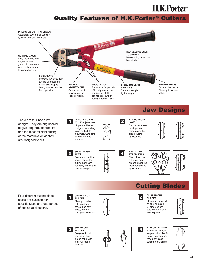### **Quality Features of H.K.Porter® Cutters**

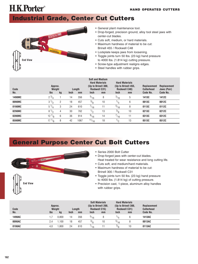### **Industrial Grade, Center Cut Cutters**



**H.K.Porter**®

- General plant maintenance tool.
- Drop-forged, precision ground, alloy tool steel jaws with center-cut blades.
- Cuts soft, medium, or hard materials.
- Maximum hardness of material to be cut: Brinell 455 / Rockwell C48
- Lockplate keeps jaws from loosening.
- Toggle joints turn 50 lbs. (23 kg) hand pressure to 4000 lbs. (1.814 kg) cutting pressure.
- Screw-type adjustment realigns edges.
- Steel handles with rubber grips.

| Code<br>No.   | Approx.<br>Weight<br><b>Ibs</b> | kg | <b>Inch</b> | Length<br>mm | <b>Soft and Medium</b><br><b>Hard Materials</b><br>(Up to Brinell 300,<br>Rockwell C31)<br><b>Inch</b> | mm | <b>Inch</b> | <b>Hard Materials</b><br>(Up to Brinell 455,<br><b>Rockwell C48)</b><br>mm | <b>Replacement</b><br><b>Cutterhead</b><br>Code No. | <b>Replacement</b><br>Jaws (Pair)<br>Code No. |
|---------------|---------------------------------|----|-------------|--------------|--------------------------------------------------------------------------------------------------------|----|-------------|----------------------------------------------------------------------------|-----------------------------------------------------|-----------------------------------------------|
| <b>1490MC</b> | $2^{3/4}$                       |    | 14          | 356          | $^{5/16}$                                                                                              | 8  | 3/16        | 5                                                                          | 1413C                                               | 1412C                                         |
| 0090MC        | $3^{1/2}$                       | 2  | 18          | 457          | $\frac{3}{8}$                                                                                          | 10 | $^{1/4}$    | 6                                                                          | 0013C                                               | 0012C                                         |
| 0190MC        | $5^{1/4}$                       | 3  | 24          | 610          | $^{7/16}$                                                                                              | 11 | $^{5/16}$   | 8                                                                          | 0113C                                               | 0112C                                         |
| 0290MC        | $8^{1/2}$                       | 4  | 30          | 762          | $\frac{1}{2}$                                                                                          | 13 | $^{3/8}$    | 10                                                                         | 0213C                                               | 0212C                                         |
| 0390MC        | $12\frac{7}{8}$                 | 6  | 36          | 914          | $\frac{9}{16}$                                                                                         | 14 | $^{7/16}$   | 11                                                                         | 0313C                                               | 0312C                                         |
| 0590MC        | $17^{1/8}$                      | 8  | 42          | 1067         | 11/16                                                                                                  | 18 | $^{1/2}$    | 13                                                                         | 0513C                                               | 0512C                                         |

# **General Purpose Center Cut Bolt Cutters**



- Series 2000 Bolt Cutter
- Drop-forged jaws with center-cut blades.
- Heat treated for wear resistance and long cutting life.
- Cuts soft, and medium/hard materials.
- Maximum hardness of material to be cut: Brinell 300 / Rockwell C31
- Toggle joints turn 50 lbs. (23 kg) hand pressure to 4000 lbs. (1.814 kg) of cutting pressure.
- Precision cast, 1-piece, aluminum alloy handles with rubber grips.

| Code   | Approx.<br>Weight<br>Length |       |             |     |             | <b>Soft Materials</b><br>(Up to Brinell 200,<br>Rockwell C15) |               | <b>Hard Materials</b><br>(Up to Brinell 300,<br>Rockwell C31) | <b>Replacement</b><br><b>Cutterhead</b> |  |
|--------|-----------------------------|-------|-------------|-----|-------------|---------------------------------------------------------------|---------------|---------------------------------------------------------------|-----------------------------------------|--|
| No.    | <b>Ibs</b>                  | kg    | <b>Inch</b> | mm  | <b>Inch</b> | mm                                                            | <b>Inch</b>   | mm                                                            | Code No.                                |  |
| 1490AC |                             | 0.800 | 14          | 356 | $^{5/16}$   |                                                               |               |                                                               | 1413AC                                  |  |
| 0090AC | 2.4                         | 1.100 | 18          | 457 | 3/8         | 10                                                            | $^{5/16}$     |                                                               | 0013AC                                  |  |
| 0190AC | 4,0                         | ,800  | 24          | 610 | 116         |                                                               | $\frac{3}{8}$ | 10                                                            | 0113AC                                  |  |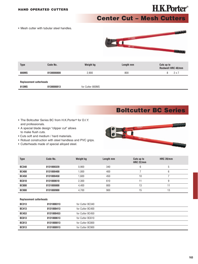# **H.K.Porter**®

**Center Cut – Mesh Cutters**

• Mesh cutter with tubular steel handles.



| <b>Type</b>  | Code No.   | Weight kg | Length mm | Cuts up to<br>Rockwell HRC 40/mm |
|--------------|------------|-----------|-----------|----------------------------------|
| <b>800MS</b> | 0130000800 | 2,900     | 800       | 2 x 7                            |
| _ _<br>.     |            |           |           |                                  |

#### **Replacement cutterheads**

| 813MS | 0130000813 | for Cutter 800MS |
|-------|------------|------------------|
|       |            |                  |

### **Boltcutter BC Series**

- The Boltcutter Series BC from H.K.Porter® for D.I.Y. and professionals.
- A special blade design "clipper cut" allows to make flush cuts.
- Cuts soft and medium / hard materials.
- Robust construction with steel handless and PVC grips.
- Cutterheads made of special alloyed steel.



| <b>Type</b>  | Code No.   | Weight kg | Length mm | Cuts up to<br><b>HRC 22/mm</b> | <b>HRC 39/mm</b> |
|--------------|------------|-----------|-----------|--------------------------------|------------------|
| <b>BC340</b> | 0131000320 | 0.900     | 340       | 6                              | b                |
| <b>BC400</b> | 0131000400 | 1,000     | 400       |                                | 6                |
| <b>BC450</b> | 0131000450 | 1.600     | 450       | 10                             |                  |
| <b>BC610</b> | 0131000610 | 2,300     | 610       |                                |                  |
| <b>BC800</b> | 0131000800 | 4.400     | 800       | 13                             |                  |
| <b>BC900</b> | 0131000900 | 4.700     | 900       | 15                             | 13               |

#### **Replacement cutterheads**

| <b>BC313</b> | 0131000313 | for Cutter BC340 |
|--------------|------------|------------------|
| <b>BC413</b> | 0131000413 | for Cutter BC400 |
| <b>BC453</b> | 0131000453 | for Cutter BC450 |
| <b>BC613</b> | 0131000613 | for Cutter BC610 |
| <b>BC813</b> | 0131000813 | for Cutter BC800 |
| <b>BC913</b> | 0131000913 | for Cutter BC900 |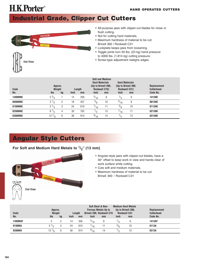## **Industrial Grade, Clipper Cut Cutters**



- All-purpose jaws with clipper-cut blades for close or flush cutting.
- Not for cutting hard materials.
- Maximum hardness of material to be cut: Brinell 300 / Rockwell C31
- Lockplate keeps jaws from loosening.
- Toggle joints turn 50 lbs. (23 kg) hand pressure to 4000 lbs. (1.814 kg) cutting pressure.
- 

| Code<br>No.    | Approx.<br>Weight<br><b>Ibs</b> | kg             | <b>Inch</b> | Length<br>mm | <b>Hard Materials</b><br>(Up to Brinell 200,<br>Rockwell C15)<br><b>Inch</b> | <b>Soft and Medium</b><br>mm | <b>Hard Materials</b><br>(Up to Brinell 300,<br>Rockwell C31)<br><b>Inch</b> | mm | <b>Replacement</b><br><b>Cutterhead</b><br>Code No. |
|----------------|---------------------------------|----------------|-------------|--------------|------------------------------------------------------------------------------|------------------------------|------------------------------------------------------------------------------|----|-----------------------------------------------------|
| <b>1490MNE</b> | $2^{3/4}$                       |                | 14          | 356          | $\frac{5}{16}$                                                               | 8                            | $^{1/4}$                                                                     | 6  | <b>1413NE</b>                                       |
| 0090MNE        | $3^{1/2}$                       | $\overline{2}$ | 18          | 457          | 3/8                                                                          | 10                           | $^{5/16}$                                                                    | 8  | <b>0013NE</b>                                       |
| 0190MNE        | $5^{1/4}$                       | 3              | 24          | 610          | $^{7/16}$                                                                    | 11                           | 3/8                                                                          | 10 | 0113NE                                              |
| <b>0290MNE</b> | $8^{1/2}$                       | 4              | 30          | 762          | $\frac{1}{2}$                                                                | 13                           | $^{7/16}$                                                                    | 11 | <b>0213NE</b>                                       |
| <b>0390MNE</b> | $12\frac{7}{8}$                 | 6              | 36          | 914          | 9/16                                                                         | 14                           | $\frac{1}{2}$                                                                | 13 | <b>0313NE</b>                                       |

# **Angular Style Cutters**

#### **For Soft and Medium Hard Metals to**  $\frac{1}{2}$ **" (13 mm)**



- Angular-style jaws with clipper-cut blades, have a 30° offset to keep work in view and hands clear of work surface while cutting.
- Cuts soft and medium materials.
- Maximum hardness of material to be cut: Brinell 300 / Rockwell C31

| Code           | Approx.<br>Weight |    |             | Length | <b>Soft Steel &amp; Non-</b><br><b>Ferrous Metals Up to</b><br><b>Brinell 200, Rockwell C15</b> | <b>Replacement</b><br><b>Cutterhead</b> |               |    |          |
|----------------|-------------------|----|-------------|--------|-------------------------------------------------------------------------------------------------|-----------------------------------------|---------------|----|----------|
| No.            | <b>Ibs</b>        | kg | <b>Inch</b> | mm     | <b>Inch</b>                                                                                     | mm                                      | <b>Inch</b>   | mm | Code No. |
| <b>1490MAF</b> |                   | 2  | 14          | 356    | $^{5/16}$                                                                                       |                                         |               | 6  | 1413AF   |
| 0190MA         | $5^{1/2}$         | 3  | 24          | 610    | $\frac{7}{16}$                                                                                  |                                         | $\frac{3}{8}$ |    | 0113A    |
| 0390MA         | $13^{1/8}$        | 6  | 36          | 914    | 9/16                                                                                            | 14                                      | $\sqrt{2}$    | 13 | 0313A    |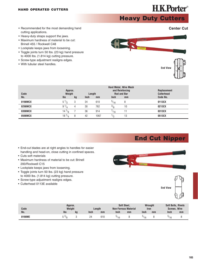### **Heavy Duty Cutters**

- Recommended for the most demanding hand cutting applications.
- Heavy-duty straps support the jaws.
- Maximum hardness of material to be cut: Brinell 455 / Rockwell C48
- Lockplate keeps jaws from loosening.
- Toggle joints turn 50 lbs. (23 kg) hand pressure to 4000 lbs. (1.814 kg) cutting pressure.
- Screw-type adjustment realigns edges.
- With tubular steel handles.

| Code    | Approx.<br>Weight |    | <b>Replacement</b><br><b>Cutterhead</b> |      |             |    |          |
|---------|-------------------|----|-----------------------------------------|------|-------------|----|----------|
| No.     | <b>Ibs</b>        | kg | <b>Inch</b>                             | mm   | <b>Inch</b> | mm | Code No. |
| 0190MCX | $5\frac{1}{2}$    |    | 24                                      | 610  | $^{5/16}$   | 8  | 0113CX   |
| 0290MCX | $9^{1/4}$         |    | 30                                      | 762  | 3/8         | 10 | 0213CX   |
| 0390MCX | $14^{1/2}$        |    | 36                                      | 914  | $^{7/16}$   |    | 0313CX   |
| 0590MCX | $18^{1/4}$        |    | 42                                      | 1067 |             | 13 | 0513CX   |

### **End Cut Nipper**

- End-cut blades are at right angles to handles for easier handling and head-on, close cutting in confined spaces.
- Cuts soft materials
- Maximum hardness of material to be cut: Brinell 200/Rockwell C15
- Lockplate keeps jaws from loosening.
- Toggle joints turn 50 lbs. (23 kg) hand pressure to 4000 lbs. (1.814 kg) cutting pressure.
- Screw-type adjustment realigns edges.
- Cutterhead 0113E available





| Code   | Approx.<br>Weight<br>Length |    |             |     |           | <b>Soft Steel.</b><br><b>Non-Ferrous Material</b> | <b>Wrought</b><br><b>Iron</b> |    | <b>Soft Bolts, Rivets</b><br><b>Screws, Wire</b> |    |
|--------|-----------------------------|----|-------------|-----|-----------|---------------------------------------------------|-------------------------------|----|--------------------------------------------------|----|
| No.    | <b>Ibs</b>                  | kq | <b>Inch</b> | mm  | Inch      | mm                                                | Inch                          | mm | Inch                                             | mm |
| 0190ME | ິ່                          |    | 24          | 610 | $^{5/16}$ |                                                   |                               |    | $^{5/16}$                                        |    |



#### **Center Cut**

**H.K.Porter**®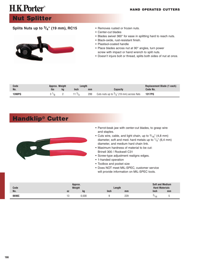### **Nut Splitter**

#### **Splits Nuts up to 3/4" (19 mm), RC15**



- Removes rusted or frozen nuts.
- Center-cut blades
- Blades swivel 360° for ease in splitting hard to reach nuts.
- Black-oxide, rust-resistant finish.
- Plastisol-coated handle
- Place blades across nut at 90° angles, turn power screw with impact or hand wrench to split nuts.
- Doesn't injure bolt or thread, splits both sides of nut at once.

| Code   | Approx. Weight |     | Length |     |                                              | Replacement Blade (1 each) |
|--------|----------------|-----|--------|-----|----------------------------------------------|----------------------------|
| No.    | <b>Ibs</b>     | ka. | Inch   | mm  | Capacity                                     | Code No.                   |
| 1390PQ |                |     | 13/7   | 299 | Cuts nuts up to $3/4$ " (19 mm) across flats | 1317PQ                     |

### **Handklip® Cutter**



- Parrot-beak jaw with center-cut blades, to grasp wire and staples.
- Cuts wire, cable, and light chain, up to  $\frac{3}{16}$ " (4,8 mm) diameter, soft and med. hard metals up to  $1/4$ " (6,4 mm) diameter, and medium hard chain link.
- Maximum hardness of material to be cut: Brinell 300 / Rockwell C31
- Screw-type adjustment realigns edges.
- 1-handed operation
- Toolbox and pocket size
- Does NOT meet MIL-SPEC, customer service will provide information on MIL-SPEC tools.

| Code  |     | Approx.<br>Weight | Length      |     | <b>Soft and Medium</b><br><b>Hard Materials</b> |
|-------|-----|-------------------|-------------|-----|-------------------------------------------------|
| No.   | 0Z  | kg                | <b>Inch</b> | mm  | <b>Inch</b><br>mm                               |
| 0690C | . ب | 0,500             |             | 229 | 16                                              |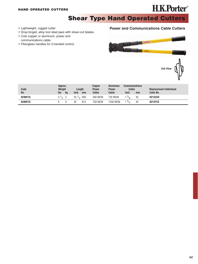# **H.K.Porter**®

**Shear Type Hand Operated Cutters** 

- Lightweight, rugged cutter
- Drop-forged, alloy tool steel jaws with shear-cut blades.
- Cuts copper or aluminum, power and communications cable.
- Fiberglass handles for 2-handed control.

#### **Power and Communications Cable Cutters**



| Code<br>No. | Approx.<br>Weight<br><b>Ibs</b><br>kg | <b>Inch</b> | Length<br>mm        | Copper<br><b>Power</b><br>Cable | <b>Aluminum</b><br><b>Power</b><br>Cable | <b>Communications</b><br>Cable<br><b>Inch</b> | mm | <b>Replacement Cutterhead</b><br>Code No. |
|-------------|---------------------------------------|-------------|---------------------|---------------------------------|------------------------------------------|-----------------------------------------------|----|-------------------------------------------|
| 0290FCS     | $4^{1/2}$ 2                           |             | $25\frac{1}{2}$ 648 | 500 MCM                         | 750 MCM                                  | 1 $3/8$                                       | 35 | 0213CSS                                   |
| 0390FCS     |                                       | 32          | 813                 | 750 MCM                         | 1200 MCM                                 | 1 $3/4$                                       | 44 | 0313FCS                                   |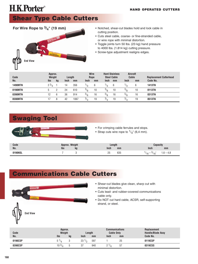# **Shear Type Cable Cutters**



- Notched, shear-cut blades hold and lock cable in cutting position.
- Cuts steel cable, coarse- or fine-stranded cable, or wire rope with minimal distortion.
- Toggle joints turn 50 lbs. (23 kg) hand pressure to 4000 lbs. (1.814 kg) cutting pressure.
- Screw-type adjustment realigns edges.

| Code<br>No.    | Approx.<br>Weight<br><b>Ibs</b> | kg | Length<br><b>Inch</b> | mm   | <b>Inch</b>   | <b>Wire</b><br>Rope<br>mm | Inch          | <b>Hard Stainless</b><br><b>Steel Cable</b><br>mm | <b>Aircraft</b><br>Cable<br><b>Inch</b> | mm | <b>Replacement Cutterhead</b><br>Code No. |
|----------------|---------------------------------|----|-----------------------|------|---------------|---------------------------|---------------|---------------------------------------------------|-----------------------------------------|----|-------------------------------------------|
| <b>1490MTN</b> | $2^{3/4}$                       |    | 14                    | 356  | $\frac{1}{4}$ | 6                         | $\frac{1}{4}$ | 6                                                 |                                         | 6  | <b>1413TN</b>                             |
| 0190MTN        |                                 |    | 24                    | 610  | $^{3/8}$      | 10                        | $\frac{3}{8}$ | 10                                                | $^{3/8}$                                | 10 | 0113TN                                    |
| 0390MTN        | 12                              | 6  | 36                    | 914  | $^{5/8}$      | 16                        | $^{5/8}$      | 16                                                | $^{5/8}$                                | 16 | 0313TN                                    |
| 0590MTN        |                                 | 8  | 42                    | 1067 | 3/4           | 19                        | 3/4           | 19                                                | 3/4                                     | 19 | 0513TN                                    |

### **Swaging Tool**



- For crimping cable ferrules and stops.
- Strap cuts wire rope to  $1/4$ " (6,4 mm).

| Code<br>No. | Approx. Weight<br><b>Ibs</b> | kq | enath<br>Inch | mm  | Inch | mm      |
|-------------|------------------------------|----|---------------|-----|------|---------|
| 0190NSL     |                              |    | つに<br>ے       | 635 | 1b   | ) — 4,ō |

# **Communications Cable Cutters**



- Shear-cut blades give clean, sharp cut with minimal distortion.
- Cuts lead- and rubber-covered communications cable only.
- Do NOT cut hard cable, ACSR, self-supporting strand, or steel.

| Code    | Approx.<br>Weight |    |                 | Length | <b>Communications</b><br><b>Cable Only</b> |    | Replacement<br><b>Handle/Blade Assy</b> |
|---------|-------------------|----|-----------------|--------|--------------------------------------------|----|-----------------------------------------|
| No.     | <b>Ibs</b>        | kg | <b>Inch</b>     | mm     | <b>Inch</b>                                | mm | Code No.                                |
| 0190CSP |                   |    | $23\frac{1}{2}$ | 597    |                                            | 25 | 0119CSP                                 |
| 0390CSP | 10 $3/4$          | b  | 31              | 940    |                                            | ٥ı | 0319CSS                                 |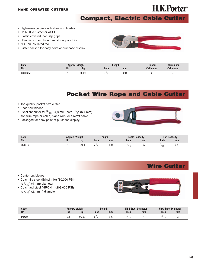# **H.K.Porter**®

### **Compact, Electric Cable Cutter**

- High-leverage jaws with shear-cut blades.
- Do NOT cut steel or ACSR.
- Plastic covered, non-slip grips.
- Compact cutter fits into most tool pouches.
- NOT an insulated tool.
- Blister packed for easy point-of-purchase display.



| Code           | Approx. | Weight | Length      |     | Copper   | luminum  |
|----------------|---------|--------|-------------|-----|----------|----------|
| No.            | lbs     | kg     | <b>Inch</b> | mm  | Cable mm | Cable mm |
| <b>9890CS.</b> |         | .454   |             | 241 |          |          |

### **Pocket Wire Rope and Cable Cutter**

- Top-quality, pocket-size cutter
- Shear-cut blades
- Excellent cutter for  $3/16$ " (4,8 mm) hard  $-1/4$ " (6,4 mm) soft wire rope or cable, piano wire, or aircraft cable.
- Packaged for easy point-of-purchase display.



| Code   | Weight<br>.pprox. |     |      | Length |             | <b>Cable Capacity</b> |              | <b>Capacity</b> |
|--------|-------------------|-----|------|--------|-------------|-----------------------|--------------|-----------------|
| No.    | lbs               | kg  | Inch | mm     | <b>Inch</b> | mm                    | Inch         | mm              |
| 0690TN |                   | 15. |      | 190    |             |                       | יפי/'<br>ີບ∠ | <u>.</u>        |

### **Wire Cutter**

- Center-cut blades
- Cuts mild steel (Brinel 140) (80.000 PSI) to <sup>5</sup>/<sub>32</sub>" (4 mm) diameter
- Cuts hard steel (HRC 44) (208.000 PSI) to <sup>3</sup>/<sub>32</sub>" (2,4 mm) diameter



| Code | Approx. Weight |       | Length |     | <b>Mild Steel Diameter</b> |    | <b>Hard Steel Diameter</b> |    |
|------|----------------|-------|--------|-----|----------------------------|----|----------------------------|----|
| No.  | Ibs            | kg    | Inch   | mm  | <b>Inch</b>                | mm | Inch                       | mm |
| PWC9 | C,U            | ),300 |        | 216 | $\frac{U}{2}$              |    | $v_{\text{on}}$<br>UL      |    |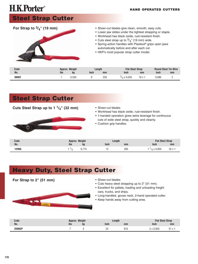#### **HAND OPERATED CUTTERS**

# **Steel Strap Cutter**



- Sheer-cut blades give clean, smooth, easy cuts.
- Lower jaw slides under the tightest strapping or staple.
- Workhead has black oxide, rust-resistant finish.
- Cuts steel strap up to  $\frac{3}{4}$ " (19 mm) wide.
- Spring action handles with Plastisol® grips open jaws automatically before and after each cut.
- HKP's most popular strap cutter model.

| Code  |     | Approx. Weight | Length |     | <b>Flat Steel Strap</b> |        |             | <b>Round Steel Tie Wire</b> |
|-------|-----|----------------|--------|-----|-------------------------|--------|-------------|-----------------------------|
| No.   | lbs | kg             | Inch   | mm  | <b>Inch</b>             | mm     | <b>Inch</b> | mm                          |
| 0990T |     | 550.ا          |        | 229 | x 0.035                 | 19 x i | 0.080       |                             |

### **Steel Strap Cutter**

#### **Cuts Steel Strap up to 1 1/4" (32 mm)**



- Sheer-cut blades
- Workhead has black oxide, rust-resistant finish.
- 1-handed operation gives extra leverage for continuous cuts of wide steel strap, quickly and cleanly.
- Cushion grip handles.

| Code  | Approx. Weight |         | Length     |     |                | <b>Flat Steel Strap</b> |  |  |
|-------|----------------|---------|------------|-----|----------------|-------------------------|--|--|
| No.   | lbs            | kg      | Inch       | mm  | Inch           | mm                      |  |  |
| 1290G |                | $- - -$ | . <u>.</u> | 305 | $\times 0.050$ | 32x                     |  |  |

### **Heavy Duty, Steel Strap Cutter**

**For Strap to 2" (51 mm)**

- Sheer-cut blades
	- Cuts heavy steel strapping up to 2" (51 mm).
	- Excellent for pallets, loading and unloading freight cars, trucks, and ships.
	- Long-handled, goose neck, 2-hand operated cutter.
	- Keep hands away from cutting area.

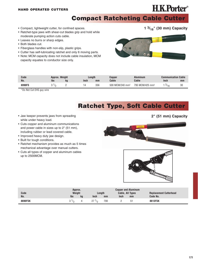# **H.K.Porter**®

**1 3/16" (30 mm) Capacity**

**Compact Ratcheting Cable Cutter**

- Compact, lightweight cutter, for confined spaces.
- Ratchet-type jaws with shear-cut blades grip and hold while moderate pumping action cuts cable.
- Leaves no burrs or sharp edges.
- Both blades cut.
- Fiberglass handles with non-slip, plastic grips.
- Cutter has self-lubricating ratchet and only 6 moving parts.
- Note: MCM capacity does not include cable insulation, MCM capacity equates to conductor size only.



| Code<br>No. | Approx. Weight<br><b>Ibs</b><br>kq |  | Length<br><b>Inch</b><br>mm |     | Copper<br>Cable             | Aluminum<br>Cable           | Communication Cable<br><b>Inch</b> | mm |
|-------------|------------------------------------|--|-----------------------------|-----|-----------------------------|-----------------------------|------------------------------------|----|
| 6990FS      |                                    |  |                             | 356 | 500 MCM/240 mm <sup>2</sup> | 795 MCM/425 mm <sup>2</sup> | $^{9/16}$                          | 30 |

\*Do Not Cut EHS guy wire

### **Ratchet Type, Soft Cable Cutter**

- Jaw keeper prevents jaws from spreading while under heavy load.
- Cuts copper and aluminum communications and power cable in sizes up to 2" (51 mm), including rubber or lead covered cable.
- Improved heavy duty jaw design.
- Built for tough conditions.
- Ratchet mechanism provides as much as 5 times mechanical advantage over manual cutters.
- Cuts all types of copper and aluminum cables up to 2500MCM.





| Code<br>No.    | Approx.<br>Weight<br><b>Ibs</b> |    | <b>Inch</b> | Length | <b>Copper and Aluminum</b><br><b>Cable, All Types</b><br><b>Inch</b> | <b>Replacement Cutterhead</b><br>Code No. |
|----------------|---------------------------------|----|-------------|--------|----------------------------------------------------------------------|-------------------------------------------|
|                |                                 | kq |             | mm     | mm                                                                   |                                           |
| <b>8690FSK</b> | $\cdot$ /n                      |    | 7<br>1/2    | 700    | 51                                                                   | 8613FSK                                   |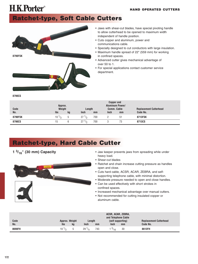# **Ratchet-type, Soft Cable Cutters**



• Jaws with shear-cut blades, have special pivoting handle to allow cutterhead to be opened to maximum width independent of handle position.

- Cuts copper and aluminum, power and communications cable.
- Specially designed to cut conductors with large insulation.
- Maximum handle spread of 22" (559 mm) for working in confined spaces.
- Advanced cutter gives mechanical advantage of over 50 to 1.
- For special applications contact customer service department.

**8790CS**

**H.K.Porter**®

| Code<br>No.    | Approx.<br>Weight<br><b>Ibs</b> | Length<br><b>Inch</b><br>kg |                  | mm  | <b>Copper and</b><br><b>Aluminum Power/</b><br>Comm. Cable<br><b>Inch</b> | mm | <b>Replacement Cutterhead</b><br>Code No. |
|----------------|---------------------------------|-----------------------------|------------------|-----|---------------------------------------------------------------------------|----|-------------------------------------------|
| <b>8790FSK</b> | $10^{1/2}$                      |                             | $27 \frac{1}{2}$ | 700 |                                                                           | 51 | 8713FSK                                   |
| 8790CS         | 15                              |                             | $27 \frac{1}{2}$ | 700 | د                                                                         | 73 | 8713CS                                    |

# **Ratchet-type, Hard Cable Cutter**

**1 3/16" (30 mm) Capacity**



- Jaw keeper prevents jaws from spreading while under heavy load.
- Shear-cut blades
- Ratchet and chain increase cutting pressure as handles open and close.
- Cuts hard cable, ACSR, ACAR, ZEBRA, and selfsupporting telephone cable, with minimal distortion.
- Moderate pressure needed to open and close handles.
- Can be used effectively with short strokes in confined spaces.
- Increased mechanical advantage over manual cutters.
- Not recommended for cutting insulated copper or aluminum cable.

| Code<br>No. | Approx. Weight<br><b>Ibs</b> | kg           | Length<br>Inch<br>mm |     | ACSR, ACAR, ZEBRA,<br>and Telephone Cable<br>(self supporting)<br><b>Inch</b><br>mm |    | <b>Replacement Cutterhead</b><br>Code No. |
|-------------|------------------------------|--------------|----------------------|-----|-------------------------------------------------------------------------------------|----|-------------------------------------------|
| 8690FH      | $10^{1/2}$                   | <sub>5</sub> | $29\frac{1}{4}$      | 743 | $^{4}$ $^{3}/_{16}$                                                                 | 30 | 8613FH                                    |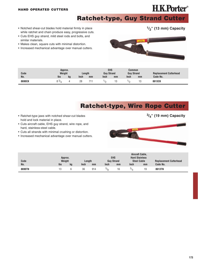# **H.K.Porter**®

**1/2" (13 mm) Capacity**

**Ratchet-type, Guy Strand Cutter**

- Notched shear-cut blades hold material firmly in place while ratchet and chain produce easy, progressive cuts.
- Cuts EHS guy strand, mild steel rods and bolts, and similar materials.
- Makes clean, square cuts with minimal distortion.
- Increased mechanical advantage over manual cutters.



| Code<br>No. | Approx.<br>Weight<br><b>Ibs</b> |    | Lenath      |    | <b>EHS</b><br><b>Guy Strand</b> |    | Common<br><b>Guy Strand</b> |     | <b>Replacement Cutterhead</b><br>Code No. |
|-------------|---------------------------------|----|-------------|----|---------------------------------|----|-----------------------------|-----|-------------------------------------------|
|             |                                 | kg | <b>Inch</b> | mm | Inch                            | mm | Inch                        | mm  |                                           |
| 8690CK      | 73/3                            |    | 28          |    |                                 |    |                             | ن ، | 8613CK                                    |

### **Ratchet-type, Wire Rope Cutter**

- Ratchet-type jaws with notched shear-cut blades hold and lock material in place.
- Cuts aircraft cable, EHS guy strand, wire rope, and hard, stainless-steel cable.
- Cuts all strands with minimal crushing or distortion.
- Increased mechanical advantage over manual cutters.



|        | Approx.    |    |             |     |             | <b>EHS</b>        |      | Aircraft Cable.<br><b>Hard Stainless</b> |                               |
|--------|------------|----|-------------|-----|-------------|-------------------|------|------------------------------------------|-------------------------------|
| Code   | Weight     |    | Length      |     |             | <b>Guv Strand</b> |      | <b>Steel Cable</b>                       | <b>Replacement Cutterhead</b> |
| No.    | <b>Ibs</b> | kg | <b>Inch</b> | mm  | <b>Inch</b> | mm                | Inch | mm                                       | Code No.                      |
| 8690TN |            |    | 36          | 914 | 5/8         | 16                |      | 19                                       | 8613TN                        |